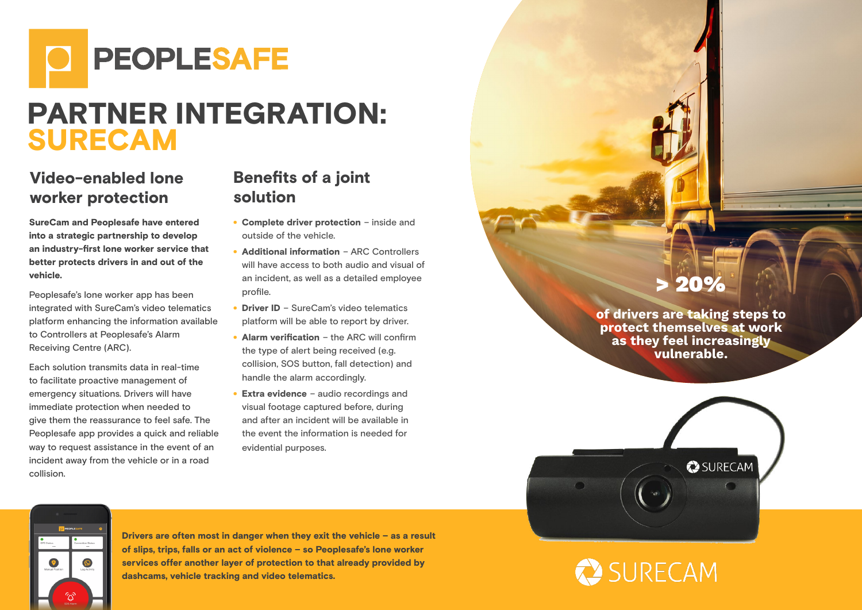

# PARTNER INTEGRATION: SURECAM

### Video-enabled lone worker protection

SureCam and Peoplesafe have entered into a strategic partnership to develop an industry-first lone worker service that better protects drivers in and out of the vehicle.

Peoplesafe's lone worker app has been integrated with SureCam's video telematics platform enhancing the information available to Controllers at Peoplesafe's Alarm Receiving Centre (ARC).

Each solution transmits data in real-time to facilitate proactive management of emergency situations. Drivers will have immediate protection when needed to give them the reassurance to feel safe. The Peoplesafe app provides a quick and reliable way to request assistance in the event of an incident away from the vehicle or in a road collision.

#### Benefits of a joint solution

- Complete driver protection inside and outside of the vehicle.
- Additional information ARC Controllers will have access to both audio and visual of an incident, as well as a detailed employee profile.
- Driver ID SureCam's video telematics platform will be able to report by driver.
- Alarm verification the ARC will confirm the type of alert being received (e.g. collision, SOS button, fall detection) and handle the alarm accordingly.
- Extra evidence audio recordings and visual footage captured before, during and after an incident will be available in the event the information is needed for evidential purposes.

## > 20%

of drivers are taking steps to protect themselves at work as they feel increasingly vulnerable.

 $\sum$  SURECAM

SURECAM



Drivers are often most in danger when they exit the vehicle – as a result of slips, trips, falls or an act of violence – so Peoplesafe's lone worker services offer another layer of protection to that already provided by dashcams, vehicle tracking and video telematics.